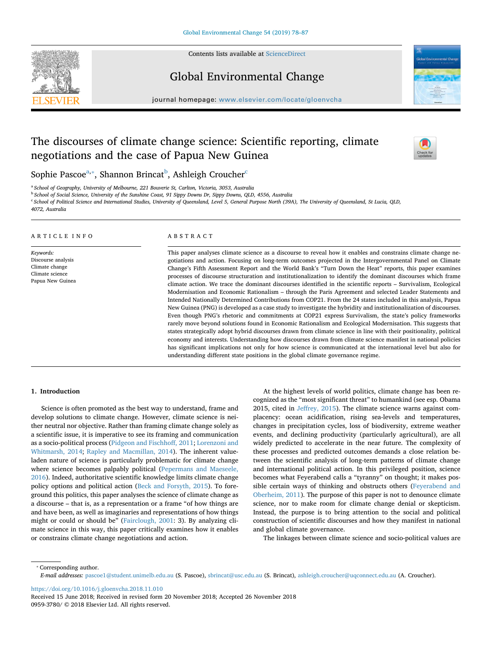

Contents lists available at [ScienceDirect](http://www.sciencedirect.com/science/journal/09593780)

-<br>Jlobal Environmental Cha

# Global Environmental Change

journal homepage: [www.elsevier.com/locate/gloenvcha](https://www.elsevier.com/locate/gloenvcha)

# The discourses of climate change science: Scientific reporting, climate negotiations and the case of Papua New Guinea



Sophie Pas[c](#page-0-3)oe $a_{\cdot,\cdot}$ , Shannon Brincat $^{\rm b}$  $^{\rm b}$  $^{\rm b}$ , Ashleigh Croucher $^{\rm c}$ 

<span id="page-0-0"></span><sup>a</sup> *School of Geography, University of Melbourne, 221 Bouverie St, Carlton, Victoria, 3053, Australia*

<span id="page-0-2"></span><sup>b</sup> *School of Social Science, University of the Sunshine Coast, 91 Sippy Downs Dr, Sippy Downs, QLD, 4556, Australia*

<span id="page-0-3"></span><sup>c</sup> *School of Political Science and International Studies, University of Queensland, Level 5, General Purpose North (39A), The University of Queensland, St Lucia, QLD,*

*4072, Australia*

*Keywords:* Discourse analysis Climate change Climate science Papua New Guinea

ARTICLE INFO

#### ABSTRACT

This paper analyses climate science as a discourse to reveal how it enables and constrains climate change negotiations and action. Focusing on long-term outcomes projected in the Intergovernmental Panel on Climate Change's Fifth Assessment Report and the World Bank's "Turn Down the Heat" reports, this paper examines processes of discourse structuration and institutionalization to identify the dominant discourses which frame climate action. We trace the dominant discourses identified in the scientific reports – Survivalism, Ecological Modernisation and Economic Rationalism – through the Paris Agreement and selected Leader Statements and Intended Nationally Determined Contributions from COP21. From the 24 states included in this analysis, Papua New Guinea (PNG) is developed as a case study to investigate the hybridity and institutionalization of discourses. Even though PNG's rhetoric and commitments at COP21 express Survivalism, the state's policy frameworks rarely move beyond solutions found in Economic Rationalism and Ecological Modernisation. This suggests that states strategically adopt hybrid discourses drawn from climate science in line with their positionality, political economy and interests. Understanding how discourses drawn from climate science manifest in national policies has significant implications not only for how science is communicated at the international level but also for understanding different state positions in the global climate governance regime.

#### **1. Introduction**

Science is often promoted as the best way to understand, frame and develop solutions to climate change. However, climate science is neither neutral nor objective. Rather than framing climate change solely as a scientific issue, it is imperative to see its framing and communication as a socio-political process ([Pidgeon and Fischhoff, 2011](#page-9-0); [Lorenzoni and](#page-9-1) [Whitmarsh, 2014;](#page-9-1) [Rapley and Macmillan, 2014](#page-9-2)). The inherent valueladen nature of science is particularly problematic for climate change where science becomes palpably political [\(Pepermans and Maeseele,](#page-9-3) [2016\)](#page-9-3). Indeed, authoritative scientific knowledge limits climate change policy options and political action ([Beck and Forsyth, 2015\)](#page-8-0). To foreground this politics, this paper analyses the science of climate change as a discourse – that is, as a representation or a frame "of how things are and have been, as well as imaginaries and representations of how things might or could or should be" [\(Fairclough, 2001](#page-9-4): 3). By analyzing climate science in this way, this paper critically examines how it enables or constrains climate change negotiations and action.

At the highest levels of world politics, climate change has been recognized as the "most significant threat" to humankind (see esp. Obama 2015, cited in [Jeffrey, 2015\)](#page-9-5). The climate science warns against complacency: ocean acidification, rising sea-levels and temperatures, changes in precipitation cycles, loss of biodiversity, extreme weather events, and declining productivity (particularly agricultural), are all widely predicted to accelerate in the near future. The complexity of these processes and predicted outcomes demands a close relation between the scientific analysis of long-term patterns of climate change and international political action. In this privileged position, science becomes what Feyerabend calls a "tyranny" on thought; it makes possible certain ways of thinking and obstructs others [\(Feyerabend and](#page-9-6) [Oberheim, 2011](#page-9-6)). The purpose of this paper is not to denounce climate science, nor to make room for climate change denial or skepticism. Instead, the purpose is to bring attention to the social and political construction of scientific discourses and how they manifest in national and global climate governance.

The linkages between climate science and socio-political values are

<span id="page-0-1"></span>⁎ Corresponding author.

<https://doi.org/10.1016/j.gloenvcha.2018.11.010>

*E-mail addresses:* [pascoe1@student.unimelb.edu.au](mailto:pascoe1@student.unimelb.edu.au) (S. Pascoe), [sbrincat@usc.edu.au](mailto:sbrincat@usc.edu.au) (S. Brincat), [ashleigh.croucher@uqconnect.edu.au](mailto:ashleigh.croucher@uqconnect.edu.au) (A. Croucher).

Received 15 June 2018; Received in revised form 20 November 2018; Accepted 26 November 2018 0959-3780/ © 2018 Elsevier Ltd. All rights reserved.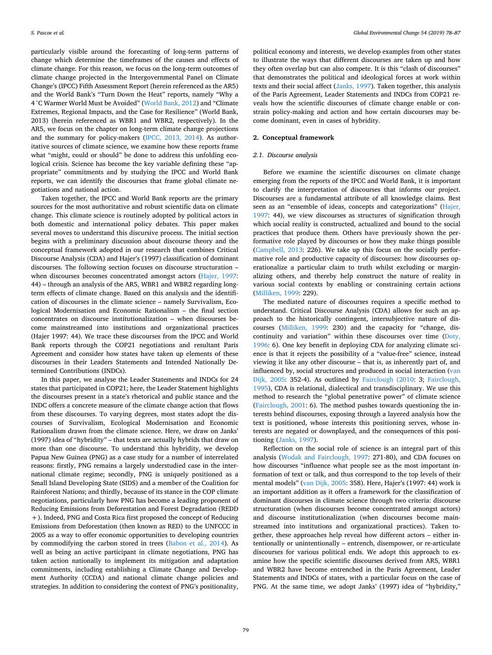particularly visible around the forecasting of long-term patterns of change which determine the timeframes of the causes and effects of climate change. For this reason, we focus on the long-term outcomes of climate change projected in the Intergovernmental Panel on Climate Change's (IPCC) Fifth Assessment Report (herein referenced as the AR5) and the World Bank's "Turn Down the Heat" reports, namely "Why a 4 °C Warmer World Must be Avoided" ([World Bank, 2012\)](#page-9-7) and "Climate Extremes, Regional Impacts, and the Case for Resilience" (World Bank, 2013) (herein referenced as WBR1 and WBR2, respectively). In the AR5, we focus on the chapter on long-term climate change projections and the summary for policy-makers [\(IPCC, 2013, 2014](#page-9-8)). As authoritative sources of climate science, we examine how these reports frame what "might, could or should" be done to address this unfolding ecological crisis. Science has become the key variable defining these "appropriate" commitments and by studying the IPCC and World Bank reports, we can identify the discourses that frame global climate negotiations and national action.

Taken together, the IPCC and World Bank reports are the primary sources for the most authoritative and robust scientific data on climate change. This climate science is routinely adopted by political actors in both domestic and international policy debates. This paper makes several moves to understand this discursive process. The initial section begins with a preliminary discussion about discourse theory and the conceptual framework adopted in our research that combines Critical Discourse Analysis (CDA) and Hajer's (1997) classification of dominant discourses. The following section focuses on discourse structuration – when discourses becomes concentrated amongst actors [\(Hajer, 1997](#page-9-9): 44) – through an analysis of the AR5, WBR1 and WBR2 regarding longterm effects of climate change. Based on this analysis and the identification of discourses in the climate science – namely Survivalism, Ecological Modernisation and Economic Rationalism – the final section concentrates on discourse institutionalization – when discourses become mainstreamed into institutions and organizational practices (Hajer 1997: 44). We trace these discourses from the IPCC and World Bank reports through the COP21 negotiations and resultant Paris Agreement and consider how states have taken up elements of these discourses in their Leaders Statements and Intended Nationally Determined Contributions (INDCs).

In this paper, we analyse the Leader Statements and INDCs for 24 states that participated in COP21; here, the Leader Statement highlights the discourses present in a state's rhetorical and public stance and the INDC offers a concrete measure of the climate change action that flows from these discourses. To varying degrees, most states adopt the discourses of Survivalism, Ecological Modernisation and Economic Rationalism drawn from the climate science. Here, we draw on Janks' (1997) idea of "hybridity" – that texts are actually hybrids that draw on more than one discourse. To understand this hybridity, we develop Papua New Guinea (PNG) as a case study for a number of interrelated reasons: firstly, PNG remains a largely understudied case in the international climate regime; secondly, PNG is uniquely positioned as a Small Island Developing State (SIDS) and a member of the Coalition for Rainforest Nations; and thirdly, because of its stance in the COP climate negotiations, particularly how PNG has become a leading proponent of Reducing Emissions from Deforestation and Forest Degradation (REDD +). Indeed, PNG and Costa Rica first proposed the concept of Reducing Emissions from Deforestation (then known as RED) to the UNFCCC in 2005 as a way to offer economic opportunities to developing countries by commodifying the carbon stored in trees [\(Babon et al., 2014\)](#page-8-1). As well as being an active participant in climate negotiations, PNG has taken action nationally to implement its mitigation and adaptation commitments, including establishing a Climate Change and Development Authority (CCDA) and national climate change policies and strategies. In addition to considering the context of PNG's positionality,

political economy and interests, we develop examples from other states to illustrate the ways that different discourses are taken up and how they often overlap but can also compete. It is this "clash of discourses" that demonstrates the political and ideological forces at work within texts and their social affect ([Janks, 1997](#page-9-10)). Taken together, this analysis of the Paris Agreement, Leader Statements and INDCs from COP21 reveals how the scientific discourses of climate change enable or constrain policy-making and action and how certain discourses may become dominant, even in cases of hybridity.

## **2. Conceptual framework**

#### *2.1. Discourse analysis*

Before we examine the scientific discourses on climate change emerging from the reports of the IPCC and World Bank, it is important to clarify the interpretation of discourses that informs our project. Discourses are a fundamental attribute of all knowledge claims. Best seen as an "ensemble of ideas, concepts and categorizations" [\(Hajer,](#page-9-9) [1997:](#page-9-9) 44), we view discourses as structures of signification through which social reality is constructed, actualized and bound to the social practices that produce them. Others have previously shown the performative role played by discourses or how they make things possible ([Campbell, 2013](#page-8-2): 226). We take up this focus on the socially performative role and productive capacity of discourses: how discourses operationalize a particular claim to truth whilst excluding or marginalizing others, and thereby help construct the nature of reality in various social contexts by enabling or constraining certain actions ([Milliken, 1999:](#page-9-11) 229).

The mediated nature of discourses requires a specific method to understand. Critical Discourse Analysis (CDA) allows for such an approach to the historically contingent, intersubjective nature of discourses ([Milliken, 1999](#page-9-11): 230) and the capacity for "change, discontinuity and variation" within these discourses over time ([Doty,](#page-8-3) [1996:](#page-8-3) 6). One key benefit in deploying CDA for analyzing climate science is that it rejects the possibility of a "value-free" science, instead viewing it like any other discourse – that is, as inherently part of, and influenced by, social structures and produced in social interaction ([van](#page-9-12) [Dijk, 2005](#page-9-12): 352-4). As outlined by [Fairclough \(2010](#page-9-13): 3; [Fairclough,](#page-8-4) [1995\)](#page-8-4), CDA is relational, dialectical and transdisciplinary. We use this method to research the "global penetrative power" of climate science ([Fairclough, 2001](#page-9-4): 6). The method pushes towards questioning the interests behind discourses, exposing through a layered analysis how the text is positioned, whose interests this positioning serves, whose interests are negated or downplayed, and the consequences of this positioning [\(Janks, 1997](#page-9-10)).

Reflection on the social role of science is an integral part of this analysis ([Wodak and Fairclough, 1997:](#page-9-14) 271-80), and CDA focuses on how discourses "influence what people see as the most important information of text or talk, and thus correspond to the top levels of their mental models" [\(van Dijk, 2005:](#page-9-12) 358). Here, Hajer's (1997: 44) work is an important addition as it offers a framework for the classification of dominant discourses in climate science through two criteria: discourse structuration (when discourses become concentrated amongst actors) and discourse institutionalization (when discourses become mainstreamed into institutions and organizational practices). Taken together, these approaches help reveal how different actors – either intentionally or unintentionally – entrench, disempower, or re-articulate discourses for various political ends. We adopt this approach to examine how the specific scientific discourses derived from AR5, WBR1 and WBR2 have become entrenched in the Paris Agreement, Leader Statements and INDCs of states, with a particular focus on the case of PNG. At the same time, we adopt Janks' (1997) idea of "hybridity,"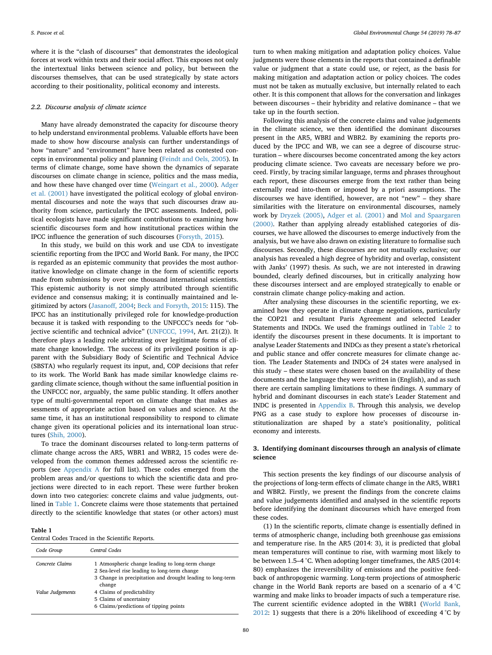where it is the "clash of discourses" that demonstrates the ideological forces at work within texts and their social affect. This exposes not only the intertextual links between science and policy, but between the discourses themselves, that can be used strategically by state actors according to their positionality, political economy and interests.

#### *2.2. Discourse analysis of climate science*

Many have already demonstrated the capacity for discourse theory to help understand environmental problems. Valuable efforts have been made to show how discourse analysis can further understandings of how "nature" and "environment" have been related as contested concepts in environmental policy and planning [\(Feindt and Oels, 2005\)](#page-9-15). In terms of climate change, some have shown the dynamics of separate discourses on climate change in science, politics and the mass media, and how these have changed over time ([Weingart et al., 2000\)](#page-9-16). [Adger](#page-8-5) [et al. \(2001\)](#page-8-5) have investigated the political ecology of global environmental discourses and note the ways that such discourses draw authority from science, particularly the IPCC assessments. Indeed, political ecologists have made significant contributions to examining how scientific discourses form and how institutional practices within the IPCC influence the generation of such discourses ([Forsyth, 2015](#page-9-17)).

In this study, we build on this work and use CDA to investigate scientific reporting from the IPCC and World Bank. For many, the IPCC is regarded as an epistemic community that provides the most authoritative knowledge on climate change in the form of scientific reports made from submissions by over one thousand international scientists. This epistemic authority is not simply attributed through scientific evidence and consensus making; it is continually maintained and legitimized by actors [\(Jasanoff, 2004](#page-9-18); [Beck and Forsyth, 2015:](#page-8-0) 115). The IPCC has an institutionally privileged role for knowledge-production because it is tasked with responding to the UNFCCC's needs for "objective scientific and technical advice" ([UNFCCC, 1994,](#page-9-19) Art. 21(2)). It therefore plays a leading role arbitrating over legitimate forms of climate change knowledge. The success of its privileged position is apparent with the Subsidiary Body of Scientific and Technical Advice (SBSTA) who regularly request its input, and, COP decisions that refer to its work. The World Bank has made similar knowledge claims regarding climate science, though without the same influential position in the UNFCCC nor, arguably, the same public standing. It offers another type of multi-governmental report on climate change that makes assessments of appropriate action based on values and science. At the same time, it has an institutional responsibility to respond to climate change given its operational policies and its international loan structures ([Shih, 2000](#page-9-20)).

To trace the dominant discourses related to long-term patterns of climate change across the AR5, WBR1 and WBR2, 15 codes were developed from the common themes addressed across the scientific reports (see [Appendix A](#page-7-0) for full list). These codes emerged from the problem areas and/or questions to which the scientific data and projections were directed to in each report. These were further broken down into two categories: concrete claims and value judgments, outlined in [Table 1.](#page-2-0) Concrete claims were those statements that pertained directly to the scientific knowledge that states (or other actors) must

#### <span id="page-2-0"></span>**Table 1**

| Central Codes Traced in the Scientific Reports. |  |
|-------------------------------------------------|--|
|-------------------------------------------------|--|

| Code Group       | Central Codes                                                        |
|------------------|----------------------------------------------------------------------|
| Concrete Claims  | 1 Atmospheric change leading to long-term change                     |
|                  | 2 Sea-level rise leading to long-term change                         |
|                  | 3 Change in precipitation and drought leading to long-term<br>change |
| Value Judgements | 4 Claims of predictability                                           |
|                  | 5 Claims of uncertainty                                              |
|                  | 6 Claims/predictions of tipping points                               |
|                  |                                                                      |

turn to when making mitigation and adaptation policy choices. Value judgments were those elements in the reports that contained a definable value or judgment that a state could use, or reject, as the basis for making mitigation and adaptation action or policy choices. The codes must not be taken as mutually exclusive, but internally related to each other. It is this component that allows for the conversation and linkages between discourses – their hybridity and relative dominance – that we take up in the fourth section.

Following this analysis of the concrete claims and value judgements in the climate science, we then identified the dominant discourses present in the AR5, WBRI and WBR2. By examining the reports produced by the IPCC and WB, we can see a degree of discourse structuration – where discourses become concentrated among the key actors producing climate science. Two caveats are necessary before we proceed. Firstly, by tracing similar language, terms and phrases throughout each report, these discourses emerge from the text rather than being externally read into-them or imposed by a priori assumptions. The discourses we have identified, however, are not "new" – they share similarities with the literature on environmental discourses, namely work by [Dryzek \(2005\)](#page-8-6), [Adger et al. \(2001\)](#page-8-5) and [Mol and Spaargaren](#page-9-21) [\(2000\).](#page-9-21) Rather than applying already established categories of discourses, we have allowed the discourses to emerge inductively from the analysis, but we have also drawn on existing literature to formalise such discourses. Secondly, these discourses are not mutually exclusive; our analysis has revealed a high degree of hybridity and overlap, consistent with Janks' (1997) thesis. As such, we are not interested in drawing bounded, clearly defined discourses, but in critically analyzing how these discourses intersect and are employed strategically to enable or constrain climate change policy-making and action.

After analysing these discourses in the scientific reporting, we examined how they operate in climate change negotiations, particularly the COP21 and resultant Paris Agreement and selected Leader Statements and INDCs. We used the framings outlined in [Table 2](#page-3-0) to identify the discourses present in these documents. It is important to analyse Leader Statements and INDCs as they present a state's rhetorical and public stance and offer concrete measures for climate change action. The Leader Statements and INDCs of 24 states were analysed in this study – these states were chosen based on the availability of these documents and the language they were written in (English), and as such there are certain sampling limitations to these findings. A summary of hybrid and dominant discourses in each state's Leader Statement and INDC is presented in [Appendix B.](#page-8-7) Through this analysis, we develop PNG as a case study to explore how processes of discourse institutionalization are shaped by a state's positionality, political economy and interests.

#### **3. Identifying dominant discourses through an analysis of climate science**

This section presents the key findings of our discourse analysis of the projections of long-term effects of climate change in the AR5, WBR1 and WBR2. Firstly, we present the findings from the concrete claims and value judgements identified and analysed in the scientific reports before identifying the dominant discourses which have emerged from these codes.

(1) In the scientific reports, climate change is essentially defined in terms of atmospheric change, including both greenhouse gas emissions and temperature rise. In the AR5 (2014: 3), it is predicted that global mean temperatures will continue to rise, with warming most likely to be between 1.5–4 °C. When adopting longer timeframes, the AR5 (2014: 80) emphasizes the irreversibility of emissions and the positive feedback of anthropogenic warming. Long-term projections of atmospheric change in the World Bank reports are based on a scenario of a 4 °C warming and make links to broader impacts of such a temperature rise. The current scientific evidence adopted in the WBR1 ([World Bank,](#page-9-7) [2012:](#page-9-7) 1) suggests that there is a 20% likelihood of exceeding 4 °C by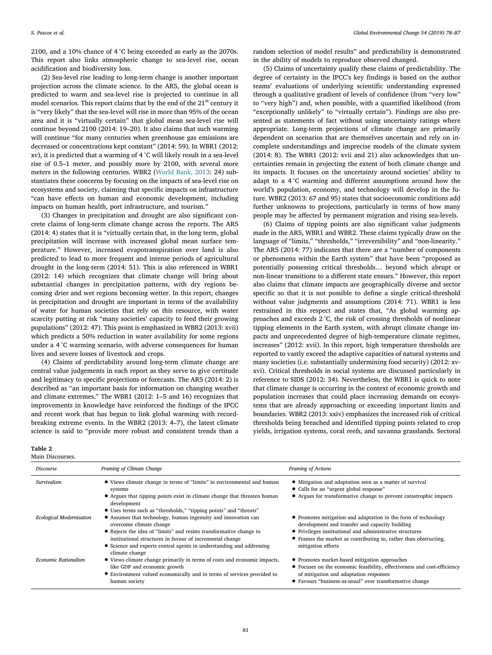2100, and a 10% chance of 4 °C being exceeded as early as the 2070s. This report also links atmospheric change to sea-level rise, ocean acidification and biodiversity loss.

(2) Sea-level rise leading to long-term change is another important projection across the climate science. In the AR5, the global ocean is predicted to warm and sea-level rise is projected to continue in all model scenarios. This report claims that by the end of the  $21<sup>st</sup>$  century it is "very likely" that the sea-level will rise in more than 95% of the ocean area and it is "virtually certain" that global mean sea-level rise will continue beyond 2100 (2014: 19–20). It also claims that such warming will continue "for many centuries when greenhouse gas emissions are decreased or concentrations kept constant" (2014: 59). In WBR1 (2012: xv), it is predicted that a warming of 4 °C will likely result in a sea-level rise of 0.5–1 meter, and possibly more by 2100, with several more meters in the following centuries. WBR2 ([World Bank, 2013](#page-9-22): 24) substantiates these concerns by focusing on the impacts of sea-level rise on ecosystems and society, claiming that specific impacts on infrastructure "can have effects on human and economic development, including impacts on human health, port infrastructure, and tourism."

(3) Changes in precipitation and drought are also significant concrete claims of long-term climate change across the reports. The AR5 (2014: 4) states that it is "virtually certain that, in the long term, global precipitation will increase with increased global mean surface temperature." However, increased evapotranspiration over land is also predicted to lead to more frequent and intense periods of agricultural drought in the long-term (2014: 51). This is also referenced in WBR1 (2012: 14) which recognizes that climate change will bring about substantial changes in precipitation patterns, with dry regions becoming drier and wet regions becoming wetter. In this report, changes in precipitation and drought are important in terms of the availability of water for human societies that rely on this resource, with water scarcity putting at risk "many societies' capacity to feed their growing populations" (2012: 47). This point is emphasized in WBR2 (2013: xvii) which predicts a 50% reduction in water availability for some regions under a 4 °C warming scenario, with adverse consequences for human lives and severe losses of livestock and crops.

(4) Claims of predictability around long-term climate change are central value judgements in each report as they serve to give certitude and legitimacy to specific projections or forecasts. The AR5 (2014: 2) is described as "an important basis for information on changing weather and climate extremes." The WBR1 (2012: 1–5 and 16) recognizes that improvements in knowledge have reinforced the findings of the IPCC and recent work that has begun to link global warming with recordbreaking extreme events. In the WBR2 (2013: 4–7), the latest climate science is said to "provide more robust and consistent trends than a

#### <span id="page-3-0"></span>**Table 2**

Main Discourses.

random selection of model results" and predictability is demonstrated in the ability of models to reproduce observed changed.

(5) Claims of uncertainty qualify these claims of predictability. The degree of certainty in the IPCC's key findings is based on the author teams' evaluations of underlying scientific understanding expressed through a qualitative gradient of levels of confidence (from "very low" to "very high") and, when possible, with a quantified likelihood (from "exceptionally unlikely" to "virtually certain"). Findings are also presented as statements of fact without using uncertainty ratings where appropriate. Long-term projections of climate change are primarily dependent on scenarios that are themselves uncertain and rely on incomplete understandings and imprecise models of the climate system (2014: 8). The WBR1 (2012: xvii and 21) also acknowledges that uncertainties remain in projecting the extent of both climate change and its impacts. It focuses on the uncertainty around societies' ability to adapt to a 4 °C warming and different assumptions around how the world's population, economy, and technology will develop in the future. WBR2 (2013: 67 and 95) states that socioeconomic conditions add further unknowns to projections, particularly in terms of how many people may be affected by permanent migration and rising sea-levels.

(6) Claims of tipping points are also significant value judgments made in the AR5, WBR1 and WBR2. These claims typically draw on the language of "limits," "thresholds," "irreversibility" and "non-linearity." The AR5 (2014: 77) indicates that there are a "number of components or phenomena within the Earth system" that have been "proposed as potentially possessing critical thresholds… beyond which abrupt or non-linear transitions to a different state ensues." However, this report also claims that climate impacts are geographically diverse and sector specific so that it is not possible to define a single critical-threshold without value judgments and assumptions (2014: 71). WBR1 is less restrained in this respect and states that, "As global warming approaches and exceeds 2 °C, the risk of crossing thresholds of nonlinear tipping elements in the Earth system, with abrupt climate change impacts and unprecedented degree of high-temperature climate regimes, increases" (2012: xvii). In this report, high temperature thresholds are reported to vastly exceed the adaptive capacities of natural systems and many societies (i.e. substantially undermining food security) (2012: xvxvi). Critical thresholds in social systems are discussed particularly in reference to SIDS (2012: 34). Nevertheless, the WBR1 is quick to note that climate change is occurring in the context of economic growth and population increases that could place increasing demands on ecosystems that are already approaching or exceeding important limits and boundaries. WBR2 (2013: xxiv) emphasizes the increased risk of critical thresholds being breached and identified tipping points related to crop yields, irrigation systems, coral reefs, and savanna grasslands. Sectoral

| <b>Discourse</b>            | Framing of Climate Change                                                                | <b>Framing of Actions</b>                                                                                        |
|-----------------------------|------------------------------------------------------------------------------------------|------------------------------------------------------------------------------------------------------------------|
| Survivalism                 | • Views climate change in terms of "limits" in environmental and human<br>systems        | • Mitigation and adaptation seen as a matter of survival<br>• Calls for an "urgent global response"              |
|                             | • Argues that tipping points exist in climate change that threaten human<br>development  | • Argues for transformative change to prevent catastrophic impacts                                               |
|                             | • Uses terms such as "thresholds," "tipping points" and "threats"                        |                                                                                                                  |
| Ecological Modernisation    | • Assumes that technology, human ingenuity and innovation can<br>overcome climate change | • Promotes mitigation and adaptation in the form of technology<br>development and transfer and capacity building |
|                             | • Rejects the idea of "limits" and resists transformative change to                      | • Privileges institutional and administrative structures                                                         |
|                             | institutional structures in favour of incremental change                                 | • Frames the market as contributing to, rather than obstructing,                                                 |
|                             | • Science and experts central agents in understanding and addressing<br>climate change   | mitigation efforts                                                                                               |
| <b>Economic Rationalism</b> | • Views climate change primarily in terms of costs and economic impacts,                 | • Promotes market-based mitigation approaches                                                                    |
|                             | like GDP and economic growth                                                             | • Focuses on the economic feasibility, effectiveness and cost-efficiency                                         |
|                             | • Environment valued economically and in terms of services provided to                   | of mitigation and adaptation responses                                                                           |
|                             | human society                                                                            | • Favours "business-as-usual" over transformative change                                                         |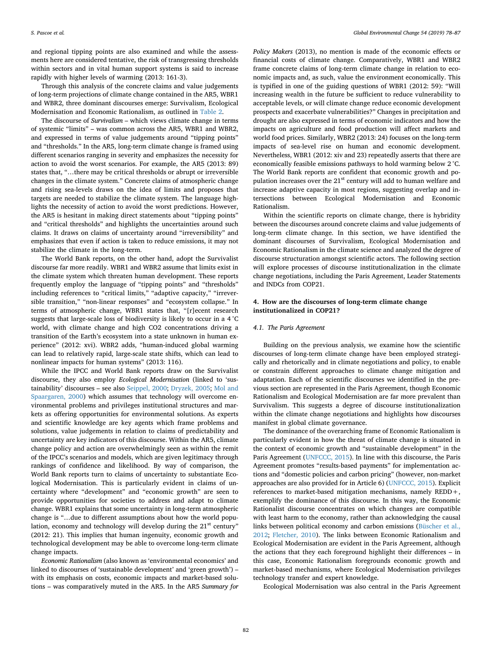and regional tipping points are also examined and while the assessments here are considered tentative, the risk of transgressing thresholds within sectors and in vital human support systems is said to increase rapidly with higher levels of warming (2013: 161-3).

Through this analysis of the concrete claims and value judgements of long-term projections of climate change contained in the AR5, WBR1 and WBR2, three dominant discourses emerge: Survivalism, Ecological Modernisation and Economic Rationalism, as outlined in [Table 2](#page-3-0).

The discourse of *Survivalism* – which views climate change in terms of systemic "limits" – was common across the AR5, WBR1 and WBR2, and expressed in terms of value judgements around "tipping points" and "thresholds." In the AR5, long-term climate change is framed using different scenarios ranging in severity and emphasizes the necessity for action to avoid the worst scenarios. For example, the AR5 (2013: 89) states that, "…there may be critical thresholds or abrupt or irreversible changes in the climate system." Concrete claims of atmospheric change and rising sea-levels draws on the idea of limits and proposes that targets are needed to stabilize the climate system. The language highlights the necessity of action to avoid the worst predictions. However, the AR5 is hesitant in making direct statements about "tipping points" and "critical thresholds" and highlights the uncertainties around such claims. It draws on claims of uncertainty around "irreversibility" and emphasizes that even if action is taken to reduce emissions, it may not stabilize the climate in the long-term.

The World Bank reports, on the other hand, adopt the Survivalist discourse far more readily. WBR1 and WBR2 assume that limits exist in the climate system which threaten human development. These reports frequently employ the language of "tipping points" and "thresholds" including references to "critical limits," "adaptive capacity," "irreversible transition," "non-linear responses" and "ecosystem collapse." In terms of atmospheric change, WBR1 states that, "[r]ecent research suggests that large-scale loss of biodiversity is likely to occur in a 4 °C world, with climate change and high CO2 concentrations driving a transition of the Earth's ecosystem into a state unknown in human experience" (2012: xvi). WBR2 adds, "human-induced global warming can lead to relatively rapid, large-scale state shifts, which can lead to nonlinear impacts for human systems" (2013: 116).

While the IPCC and World Bank reports draw on the Survivalist discourse, they also employ *Ecological Modernisation* (linked to 'sustainability' discourses – see also [Seippel, 2000](#page-9-23); [Dryzek, 2005](#page-8-6); [Mol and](#page-9-21) [Spaargaren, 2000\)](#page-9-21) which assumes that technology will overcome environmental problems and privileges institutional structures and markets as offering opportunities for environmental solutions. As experts and scientific knowledge are key agents which frame problems and solutions, value judgements in relation to claims of predictability and uncertainty are key indicators of this discourse. Within the AR5, climate change policy and action are overwhelmingly seen as within the remit of the IPCC's scenarios and models, which are given legitimacy through rankings of confidence and likelihood. By way of comparison, the World Bank reports turn to claims of uncertainty to substantiate Ecological Modernisation. This is particularly evident in claims of uncertainty where "development" and "economic growth" are seen to provide opportunities for societies to address and adapt to climate change. WBR1 explains that some uncertainty in long-term atmospheric change is "…due to different assumptions about how the world population, economy and technology will develop during the  $21<sup>st</sup>$  century" (2012: 21). This implies that human ingenuity, economic growth and technological development may be able to overcome long-term climate change impacts.

*Economic Rationalism* (also known as 'environmental economics' and linked to discourses of 'sustainable development' and 'green growth') – with its emphasis on costs, economic impacts and market-based solutions – was comparatively muted in the AR5. In the AR5 *Summary for*

*Policy Makers* (2013), no mention is made of the economic effects or financial costs of climate change. Comparatively, WBR1 and WBR2 frame concrete claims of long-term climate change in relation to economic impacts and, as such, value the environment economically. This is typified in one of the guiding questions of WBR1 (2012: 59): "Will increasing wealth in the future be sufficient to reduce vulnerability to acceptable levels, or will climate change reduce economic development prospects and exacerbate vulnerabilities?" Changes in precipitation and drought are also expressed in terms of economic indicators and how the impacts on agriculture and food production will affect markets and world food prices. Similarly, WBR2 (2013: 24) focuses on the long-term impacts of sea-level rise on human and economic development. Nevertheless, WBR1 (2012: xiv and 23) repeatedly asserts that there are economically feasible emissions pathways to hold warming below 2 °C. The World Bank reports are confident that economic growth and population increases over the 21<sup>st</sup> century will add to human welfare and increase adaptive capacity in most regions, suggesting overlap and intersections between Ecological Modernisation and Economic Rationalism.

Within the scientific reports on climate change, there is hybridity between the discourses around concrete claims and value judgements of long-term climate change. In this section, we have identified the dominant discourses of Survivalism, Ecological Modernisation and Economic Rationalism in the climate science and analyzed the degree of discourse structuration amongst scientific actors. The following section will explore processes of discourse institutionalization in the climate change negotiations, including the Paris Agreement, Leader Statements and INDCs from COP21.

#### **4. How are the discourses of long-term climate change institutionalized in COP21?**

#### *4.1. The Paris Agreement*

Building on the previous analysis, we examine how the scientific discourses of long-term climate change have been employed strategically and rhetorically and in climate negotiations and policy, to enable or constrain different approaches to climate change mitigation and adaptation. Each of the scientific discourses we identified in the previous section are represented in the Paris Agreement, though Economic Rationalism and Ecological Modernisation are far more prevalent than Survivalism. This suggests a degree of discourse institutionalization within the climate change negotiations and highlights how discourses manifest in global climate governance.

The dominance of the overarching frame of Economic Rationalism is particularly evident in how the threat of climate change is situated in the context of economic growth and "sustainable development" in the Paris Agreement [\(UNFCCC, 2015](#page-9-24)). In line with this discourse, the Paris Agreement promotes "results-based payments" for implementation actions and "domestic policies and carbon pricing" (however, non-market approaches are also provided for in Article 6) ([UNFCCC, 2015\)](#page-9-24). Explicit references to market-based mitigation mechanisms, namely REDD+, exemplify the dominance of this discourse. In this way, the Economic Rationalist discourse concentrates on which changes are compatible with least harm to the economy, rather than acknowledging the causal links between political economy and carbon emissions ([Büscher et al.,](#page-8-8) [2012;](#page-8-8) [Fletcher, 2010\)](#page-9-25). The links between Economic Rationalism and Ecological Modernisation are evident in the Paris Agreement, although the actions that they each foreground highlight their differences – in this case, Economic Rationalism foregrounds economic growth and market-based mechanisms, where Ecological Modernisation privileges technology transfer and expert knowledge.

Ecological Modernisation was also central in the Paris Agreement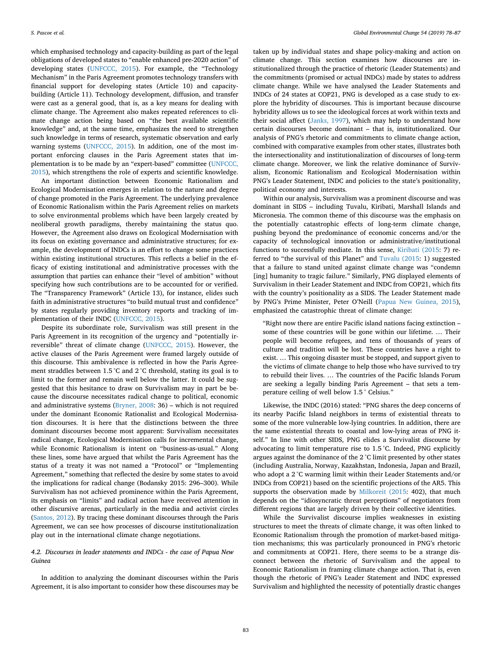which emphasised technology and capacity-building as part of the legal obligations of developed states to "enable enhanced pre-2020 action" of developing states ([UNFCCC, 2015\)](#page-9-24). For example, the "Technology Mechanism" in the Paris Agreement promotes technology transfers with financial support for developing states (Article 10) and capacitybuilding (Article 11). Technology development, diffusion, and transfer were cast as a general good, that is, as a key means for dealing with climate change. The Agreement also makes repeated references to climate change action being based on "the best available scientific knowledge" and, at the same time, emphasizes the need to strengthen such knowledge in terms of research, systematic observation and early warning systems [\(UNFCCC, 2015\)](#page-9-24). In addition, one of the most important enforcing clauses in the Paris Agreement states that implementation is to be made by an "expert-based" committee ([UNFCCC,](#page-9-24) [2015\)](#page-9-24), which strengthens the role of experts and scientific knowledge.

An important distinction between Economic Rationalism and Ecological Modernisation emerges in relation to the nature and degree of change promoted in the Paris Agreement. The underlying prevalence of Economic Rationalism within the Paris Agreement relies on markets to solve environmental problems which have been largely created by neoliberal growth paradigms, thereby maintaining the status quo. However, the Agreement also draws on Ecological Modernisation with its focus on existing governance and administrative structures; for example, the development of INDCs is an effort to change some practices within existing institutional structures. This reflects a belief in the efficacy of existing institutional and administrative processes with the assumption that parties can enhance their "level of ambition" without specifying how such contributions are to be accounted for or verified. The "Transparency Framework" (Article 13), for instance, elides such faith in administrative structures "to build mutual trust and confidence" by states regularly providing inventory reports and tracking of implementation of their INDC [\(UNFCCC, 2015](#page-9-24)).

Despite its subordinate role, Survivalism was still present in the Paris Agreement in its recognition of the urgency and "potentially irreversible" threat of climate change [\(UNFCCC, 2015\)](#page-9-24). However, the active clauses of the Paris Agreement were framed largely outside of this discourse. This ambivalence is reflected in how the Paris Agreement straddles between 1.5 °C and 2 °C threshold, stating its goal is to limit to the former and remain well below the latter. It could be suggested that this hesitance to draw on Survivalism may in part be because the discourse necessitates radical change to political, economic and administrative systems ([Bryner, 2008](#page-8-9): 36) – which is not required under the dominant Economic Rationalist and Ecological Modernisation discourses. It is here that the distinctions between the three dominant discourses become most apparent: Survivalism necessitates radical change, Ecological Modernisation calls for incremental change, while Economic Rationalism is intent on "business-as-usual." Along these lines, some have argued that whilst the Paris Agreement has the status of a treaty it was not named a "Protocol" or "Implementing Agreement," something that reflected the desire by some states to avoid the implications for radical change (Bodansky 2015: 296–300). While Survivalism has not achieved prominence within the Paris Agreement, its emphasis on "limits" and radical action have received attention in other discursive arenas, particularly in the media and activist circles ([Santos, 2012](#page-9-26)). By tracing these dominant discourses through the Paris Agreement, we can see how processes of discourse institutionalization play out in the international climate change negotiations.

## *4.2. Discourses in leader statements and INDCs - the case of Papua New Guinea*

In addition to analyzing the dominant discourses within the Paris Agreement, it is also important to consider how these discourses may be

taken up by individual states and shape policy-making and action on climate change. This section examines how discourses are institutionalized through the practice of rhetoric (Leader Statements) and the commitments (promised or actual INDCs) made by states to address climate change. While we have analysed the Leader Statements and INDCs of 24 states at COP21, PNG is developed as a case study to explore the hybridity of discourses. This is important because discourse hybridity allows us to see the ideological forces at work within texts and their social affect ([Janks, 1997](#page-9-10)), which may help to understand how certain discourses become dominant – that is, institutionalized. Our analysis of PNG's rhetoric and commitments to climate change action, combined with comparative examples from other states, illustrates both the intersectionality and institutionalization of discourses of long-term climate change. Moreover, we link the relative dominance of Survivalism, Economic Rationalism and Ecological Modernisation within PNG's Leader Statement, INDC and policies to the state's positionality, political economy and interests.

Within our analysis, Survivalism was a prominent discourse and was dominant in SIDS – including Tuvalu, Kiribati, Marshall Islands and Micronesia. The common theme of this discourse was the emphasis on the potentially catastrophic effects of long-term climate change, pushing beyond the predominance of economic concerns and/or the capacity of technological innovation or administrative/institutional functions to successfully mediate. In this sense, [Kiribati \(2015](#page-9-27): 7) referred to "the survival of this Planet" and [Tuvalu \(2015:](#page-9-28) 1) suggested that a failure to stand united against climate change was "condemn [ing] humanity to tragic failure." Similarly, PNG displayed elements of Survivalism in their Leader Statement and INDC from COP21, which fits with the country's positionality as a SIDS. The Leader Statement made by PNG's Prime Minister, Peter O'Neill ([Papua New Guinea, 2015](#page-9-29)), emphasized the catastrophic threat of climate change:

"Right now there are entire Pacific island nations facing extinction – some of these countries will be gone within our lifetime. … Their people will become refugees, and tens of thousands of years of culture and tradition will be lost. These countries have a right to exist. … This ongoing disaster must be stopped, and support given to the victims of climate change to help those who have survived to try to rebuild their lives. … The countries of the Pacific Islands Forum are seeking a legally binding Paris Agreement – that sets a temperature ceiling of well below 1.5 ° Celsius."

Likewise, the INDC (2016) stated: "PNG shares the deep concerns of its nearby Pacific Island neighbors in terms of existential threats to some of the more vulnerable low-lying countries. In addition, there are the same existential threats to coastal and low-lying areas of PNG itself." In line with other SIDS, PNG elides a Survivalist discourse by advocating to limit temperature rise to 1.5 °C. Indeed, PNG explicitly argues against the dominance of the 2 °C limit presented by other states (including Australia, Norway, Kazakhstan, Indonesia, Japan and Brazil, who adopt a 2 °C warming limit within their Leader Statements and/or INDCs from COP21) based on the scientific projections of the AR5. This supports the observation made by [Milkoreit \(2015](#page-9-30): 402), that much depends on the "idiosyncratic threat perceptions" of negotiators from different regions that are largely driven by their collective identities.

While the Survivalist discourse implies weaknesses in existing structures to meet the threats of climate change, it was often linked to Economic Rationalism through the promotion of market-based mitigation mechanisms; this was particularly pronounced in PNG's rhetoric and commitments at COP21. Here, there seems to be a strange disconnect between the rhetoric of Survivalism and the appeal to Economic Rationalism in framing climate change action. That is, even though the rhetoric of PNG's Leader Statement and INDC expressed Survivalism and highlighted the necessity of potentially drastic changes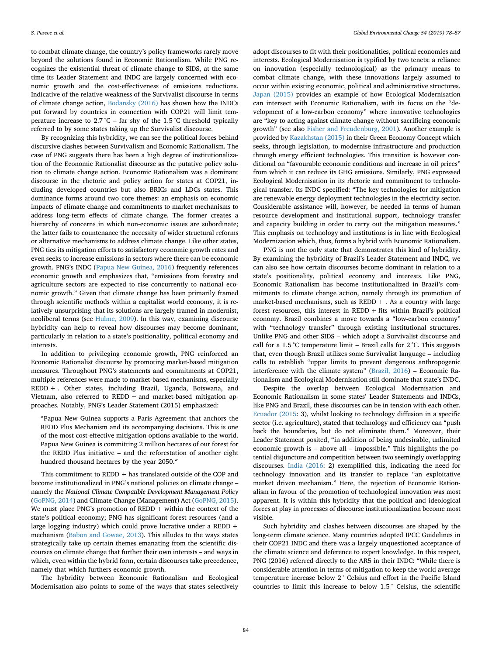to combat climate change, the country's policy frameworks rarely move beyond the solutions found in Economic Rationalism. While PNG recognizes the existential threat of climate change to SIDS, at the same time its Leader Statement and INDC are largely concerned with economic growth and the cost-effectiveness of emissions reductions. Indicative of the relative weakness of the Survivalist discourse in terms of climate change action, [Bodansky \(2016\)](#page-8-10) has shown how the INDCs put forward by countries in connection with COP21 will limit temperature increase to  $2.7^{\circ}$ C – far shy of the 1.5 °C threshold typically referred to by some states taking up the Survivalist discourse.

By recognizing this hybridity, we can see the political forces behind discursive clashes between Survivalism and Economic Rationalism. The case of PNG suggests there has been a high degree of institutionalization of the Economic Rationalist discourse as the putative policy solution to climate change action. Economic Rationalism was a dominant discourse in the rhetoric and policy action for states at COP21, including developed countries but also BRICs and LDCs states. This dominance forms around two core themes: an emphasis on economic impacts of climate change and commitments to market mechanisms to address long-term effects of climate change. The former creates a hierarchy of concerns in which non-economic issues are subordinate; the latter fails to countenance the necessity of wider structural reforms or alternative mechanisms to address climate change. Like other states, PNG ties its mitigation efforts to satisfactory economic growth rates and even seeks to increase emissions in sectors where there can be economic growth. PNG's INDC ([Papua New Guinea, 2016\)](#page-9-31) frequently references economic growth and emphasizes that, "emissions from forestry and agriculture sectors are expected to rise concurrently to national economic growth." Given that climate change has been primarily framed through scientific methods within a capitalist world economy, it is relatively unsurprising that its solutions are largely framed in modernist, neoliberal terms (see [Hulme, 2009](#page-9-32)). In this way, examining discourse hybridity can help to reveal how discourses may become dominant, particularly in relation to a state's positionality, political economy and interests.

In addition to privileging economic growth, PNG reinforced an Economic Rationalist discourse by promoting market-based mitigation measures. Throughout PNG's statements and commitments at COP21, multiple references were made to market-based mechanisms, especially REDD + . Other states, including Brazil, Uganda, Botswana, and Vietnam, also referred to  $REDD +$  and market-based mitigation approaches. Notably, PNG's Leader Statement (2015) emphasized:

"Papua New Guinea supports a Paris Agreement that anchors the REDD Plus Mechanism and its accompanying decisions. This is one of the most cost-effective mitigation options available to the world. Papua New Guinea is committing 2 million hectares of our forest for the REDD Plus initiative – and the reforestation of another eight hundred thousand hectares by the year 2050.″

This commitment to REDD + has translated outside of the COP and become institutionalized in PNG's national policies on climate change – namely the *National Climate Compatible Development Management Policy* ([GoPNG, 2014](#page-9-33)) and Climate Change (Management) Act ([GoPNG, 2015](#page-9-34)). We must place PNG's promotion of REDD + within the context of the state's political economy; PNG has significant forest resources (and a large logging industry) which could prove lucrative under a REDD + mechanism [\(Babon and Gowae, 2013](#page-8-11)). This alludes to the ways states strategically take up certain themes emanating from the scientific discourses on climate change that further their own interests – and ways in which, even within the hybrid form, certain discourses take precedence, namely that which furthers economic growth.

The hybridity between Economic Rationalism and Ecological Modernisation also points to some of the ways that states selectively

adopt discourses to fit with their positionalities, political economies and interests. Ecological Modernisation is typified by two tenets: a reliance on innovation (especially technological) as the primary means to combat climate change, with these innovations largely assumed to occur within existing economic, political and administrative structures. [Japan \(2015\)](#page-9-35) provides an example of how Ecological Modernisation can intersect with Economic Rationalism, with its focus on the "development of a low-carbon economy" where innovative technologies are "key to acting against climate change without sacrificing economic growth" (see also [Fisher and Freudenburg, 2001](#page-9-36)). Another example is provided by [Kazakhstan \(2015\)](#page-9-37) in their Green Economy Concept which seeks, through legislation, to modernise infrastructure and production through energy efficient technologies. This transition is however conditional on "favourable economic conditions and increase in oil prices" from which it can reduce its GHG emissions. Similarly, PNG expressed Ecological Modernisation in its rhetoric and commitment to technological transfer. Its INDC specified: "The key technologies for mitigation are renewable energy deployment technologies in the electricity sector. Considerable assistance will, however, be needed in terms of human resource development and institutional support, technology transfer and capacity building in order to carry out the mitigation measures." This emphasis on technology and institutions is in line with Ecological Modernization which, thus, forms a hybrid with Economic Rationalism.

PNG is not the only state that demonstrates this kind of hybridity. By examining the hybridity of Brazil's Leader Statement and INDC, we can also see how certain discourses become dominant in relation to a state's positionality, political economy and interests. Like PNG, Economic Rationalism has become institutionalized in Brazil's commitments to climate change action, namely through its promotion of market-based mechanisms, such as REDD + . As a country with large forest resources, this interest in REDD + fits within Brazil's political economy. Brazil combines a move towards a "low-carbon economy" with "technology transfer" through existing institutional structures. Unlike PNG and other SIDS – which adopt a Survivalist discourse and call for a 1.5 °C temperature limit – Brazil calls for 2 °C. This suggests that, even though Brazil utilizes some Survivalist language – including calls to establish "upper limits to prevent dangerous anthropogenic interference with the climate system" ([Brazil, 2016](#page-8-12)) – Economic Rationalism and Ecological Modernisation still dominate that state's INDC.

Despite the overlap between Ecological Modernisation and Economic Rationalism in some states' Leader Statements and INDCs, like PNG and Brazil, these discourses can be in tension with each other. [Ecuador \(2015](#page-8-13): 3), whilst looking to technology diffusion in a specific sector (i.e. agriculture), stated that technology and efficiency can "push back the boundaries, but do not eliminate them." Moreover, their Leader Statement posited, "in addition of being undesirable, unlimited economic growth is – above all – impossible." This highlights the potential disjuncture and competition between two seemingly overlapping discourses. [India \(2016:](#page-9-38) 2) exemplified this, indicating the need for technology innovation and its transfer to replace "an exploitative market driven mechanism." Here, the rejection of Economic Rationalism in favour of the promotion of technological innovation was most apparent. It is within this hybridity that the political and ideological forces at play in processes of discourse institutionalization become most visible.

Such hybridity and clashes between discourses are shaped by the long-term climate science. Many countries adopted IPCC Guidelines in their COP21 INDC and there was a largely unquestioned acceptance of the climate science and deference to expert knowledge. In this respect, PNG (2016) referred directly to the AR5 in their INDC: "While there is considerable attention in terms of mitigation to keep the world average temperature increase below 2° Celsius and effort in the Pacific Island countries to limit this increase to below 1.5 ° Celsius, the scientific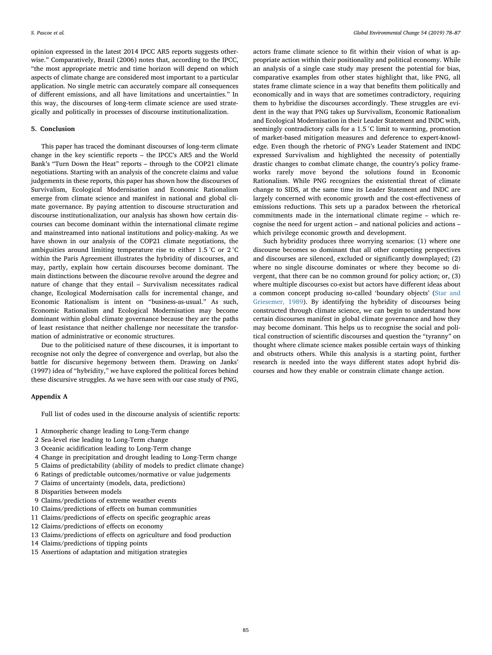opinion expressed in the latest 2014 IPCC AR5 reports suggests otherwise." Comparatively, Brazil (2006) notes that, according to the IPCC, "the most appropriate metric and time horizon will depend on which aspects of climate change are considered most important to a particular application. No single metric can accurately compare all consequences of different emissions, and all have limitations and uncertainties." In this way, the discourses of long-term climate science are used strategically and politically in processes of discourse institutionalization.

## **5. Conclusion**

This paper has traced the dominant discourses of long-term climate change in the key scientific reports – the IPCC's AR5 and the World Bank's "Turn Down the Heat" reports – through to the COP21 climate negotiations. Starting with an analysis of the concrete claims and value judgements in these reports, this paper has shown how the discourses of Survivalism, Ecological Modernisation and Economic Rationalism emerge from climate science and manifest in national and global climate governance. By paying attention to discourse structuration and discourse institutionalization, our analysis has shown how certain discourses can become dominant within the international climate regime and mainstreamed into national institutions and policy-making. As we have shown in our analysis of the COP21 climate negotiations, the ambiguities around limiting temperature rise to either 1.5 °C or 2 °C within the Paris Agreement illustrates the hybridity of discourses, and may, partly, explain how certain discourses become dominant. The main distinctions between the discourse revolve around the degree and nature of change that they entail – Survivalism necessitates radical change, Ecological Modernisation calls for incremental change, and Economic Rationalism is intent on "business-as-usual." As such, Economic Rationalism and Ecological Modernisation may become dominant within global climate governance because they are the paths of least resistance that neither challenge nor necessitate the transformation of administrative or economic structures.

Due to the politicised nature of these discourses, it is important to recognise not only the degree of convergence and overlap, but also the battle for discursive hegemony between them. Drawing on Janks' (1997) idea of "hybridity," we have explored the political forces behind these discursive struggles. As we have seen with our case study of PNG,

#### <span id="page-7-0"></span>**Appendix A**

Full list of codes used in the discourse analysis of scientific reports:

- 1 Atmospheric change leading to Long-Term change
- 2 Sea-level rise leading to Long-Term change
- 3 Oceanic acidification leading to Long-Term change
- 4 Change in precipitation and drought leading to Long-Term change
- 5 Claims of predictability (ability of models to predict climate change)
- 6 Ratings of predictable outcomes/normative or value judgements
- 7 Claims of uncertainty (models, data, predictions)
- 8 Disparities between models
- 9 Claims/predictions of extreme weather events
- 10 Claims/predictions of effects on human communities
- 11 Claims/predictions of effects on specific geographic areas
- 12 Claims/predictions of effects on economy
- 13 Claims/predictions of effects on agriculture and food production
- 14 Claims/predictions of tipping points
- 15 Assertions of adaptation and mitigation strategies

actors frame climate science to fit within their vision of what is appropriate action within their positionality and political economy. While an analysis of a single case study may present the potential for bias, comparative examples from other states highlight that, like PNG, all states frame climate science in a way that benefits them politically and economically and in ways that are sometimes contradictory, requiring them to hybridise the discourses accordingly. These struggles are evident in the way that PNG takes up Survivalism, Economic Rationalism and Ecological Modernisation in their Leader Statement and INDC with, seemingly contradictory calls for a 1.5 °C limit to warming, promotion of market-based mitigation measures and deference to expert-knowledge. Even though the rhetoric of PNG's Leader Statement and INDC expressed Survivalism and highlighted the necessity of potentially drastic changes to combat climate change, the country's policy frameworks rarely move beyond the solutions found in Economic Rationalism. While PNG recognizes the existential threat of climate change to SIDS, at the same time its Leader Statement and INDC are largely concerned with economic growth and the cost-effectiveness of emissions reductions. This sets up a paradox between the rhetorical commitments made in the international climate regime – which recognise the need for urgent action – and national policies and actions – which privilege economic growth and development.

Such hybridity produces three worrying scenarios: (1) where one discourse becomes so dominant that all other competing perspectives and discourses are silenced, excluded or significantly downplayed; (2) where no single discourse dominates or where they become so divergent, that there can be no common ground for policy action; or, (3) where multiple discourses co-exist but actors have different ideas about a common concept producing so-called 'boundary objects' ([Star and](#page-9-39) [Griesemer, 1989](#page-9-39)). By identifying the hybridity of discourses being constructed through climate science, we can begin to understand how certain discourses manifest in global climate governance and how they may become dominant. This helps us to recognise the social and political construction of scientific discourses and question the "tyranny" on thought where climate science makes possible certain ways of thinking and obstructs others. While this analysis is a starting point, further research is needed into the ways different states adopt hybrid discourses and how they enable or constrain climate change action.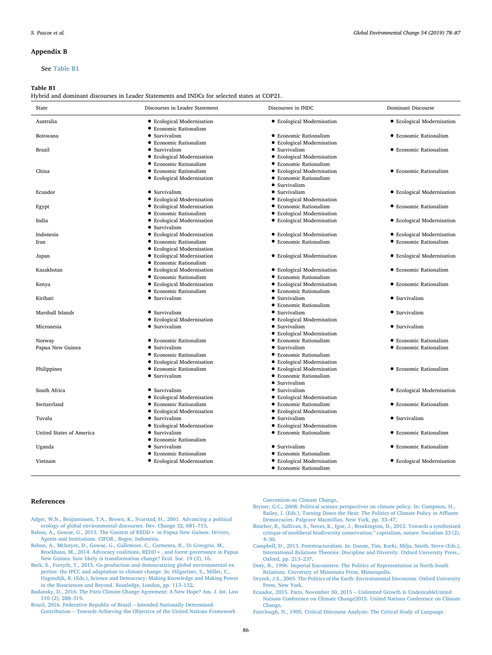#### <span id="page-8-7"></span>**Appendix B**

## See [Table B1](#page-8-14)

## <span id="page-8-14"></span>Hybrid and dominant discourses in Leader Statements and INDCs for selected states at COP21.

| State                           | Discourses in Leader Statement    | Discourses in INDC                | Dominant Discourse         |
|---------------------------------|-----------------------------------|-----------------------------------|----------------------------|
| Australia                       | • Ecological Modernisation        | • Ecological Modernisation        | • Ecological Modernisation |
|                                 | <b>• Economic Rationalism</b>     |                                   |                            |
| Botswana                        | • Survivalism                     | • Economic Rationalism            | • Economic Rationalism     |
|                                 | <b>• Economic Rationalism</b>     | • Ecological Modernisation        |                            |
| Brazil                          | • Survivalism                     | • Survivalism                     | • Economic Rationalism     |
|                                 | <b>•</b> Ecological Modernisation | <b>•</b> Ecological Modernisation |                            |
|                                 | ● Economic Rationalism            | <b>• Economic Rationalism</b>     |                            |
| China                           | • Economic Rationalism            | • Ecological Modernisation        | • Economic Rationalism     |
|                                 | • Ecological Modernisation        | • Economic Rationalism            |                            |
|                                 |                                   | • Survivalism                     |                            |
| Ecuador                         | $\bullet$ Survivalism             | • Survivalism                     | • Ecological Modernisation |
|                                 | <b>•</b> Ecological Modernisation | <b>•</b> Ecological Modernisation |                            |
| Egypt                           | <b>•</b> Ecological Modernisation | • Economic Rationalism            | • Economic Rationalism     |
|                                 | <b>• Economic Rationalism</b>     | • Ecological Modernisation        |                            |
| India                           | • Ecological Modernisation        | <b>•</b> Ecological Modernisation | • Ecological Modernisation |
|                                 | • Survivalism                     |                                   |                            |
| Indonesia                       | • Ecological Modernisation        | • Ecological Modernisation        | • Ecological Modernisation |
| Iran                            | • Economic Rationalism            | • Economic Rationalism            | • Economic Rationalism     |
|                                 | <b>•</b> Ecological Modernisation |                                   |                            |
| Japan                           | • Ecological Modernisation        | • Ecological Modernisation        | • Ecological Modernisation |
|                                 | • Economic Rationalism            |                                   |                            |
| Kazakhstan                      | <b>•</b> Ecological Modernisation | • Ecological Modernisation        | • Economic Rationalism     |
|                                 | • Economic Rationalism            | • Economic Rationalism            |                            |
| Kenya                           | • Ecological Modernisation        | • Ecological Modernisation        | • Economic Rationalism     |
|                                 | <b>•</b> Economic Rationalism     | <b>•</b> Economic Rationalism     |                            |
| Kiribati                        | • Survivalism                     | • Survivalism                     | $\bullet$ Survivalism      |
|                                 |                                   | <b>• Economic Rationalism</b>     |                            |
| Marshall Islands                | • Survivalism                     | • Survivalism                     | $\bullet$ Survivalism      |
|                                 | • Ecological Modernisation        | • Ecological Modernisation        |                            |
| Micronesia                      | • Survivalism                     | • Survivalism                     | $\bullet$ Survivalism      |
|                                 |                                   | <b>•</b> Ecological Modernisation |                            |
| Norway                          | <b>•</b> Economic Rationalism     | <b>•</b> Economic Rationalism     | • Economic Rationalism     |
| Papua New Guinea                | $\bullet$ Survivalism             | • Survivalism                     | • Economic Rationalism     |
|                                 | • Economic Rationalism            | • Economic Rationalism            |                            |
|                                 | • Ecological Modernisation        | • Ecological Modernisation        |                            |
| Philippines                     | <b>•</b> Economic Rationalism     | • Ecological Modernisation        | • Economic Rationalism     |
|                                 | • Survivalism                     | • Economic Rationalism            |                            |
|                                 |                                   | • Survivalism                     |                            |
| South Africa                    | • Survivalism                     | • Survivalism                     | • Ecological Modernisation |
|                                 | • Ecological Modernisation        | • Ecological Modernisation        |                            |
| Switzerland                     | • Economic Rationalism            | • Economic Rationalism            | • Economic Rationalism     |
|                                 | • Ecological Modernisation        | • Ecological Modernisation        |                            |
| Tuvalu                          | $\bullet$ Survivalism             | • Survivalism                     | $\bullet$ Survivalism      |
|                                 | • Ecological Modernisation        | <b>•</b> Ecological Modernisation |                            |
| <b>United States of America</b> | • Survivalism                     | • Economic Rationalism            | • Economic Rationalism     |
|                                 | <b>•</b> Economic Rationalism     |                                   |                            |
| Uganda                          | • Survivalism                     | • Survivalism                     | • Economic Rationalism     |
|                                 | <b>• Economic Rationalism</b>     | • Economic Rationalism            |                            |
| Vietnam                         | • Ecological Modernisation        | • Ecological Modernisation        | • Ecological Modernisation |
|                                 |                                   |                                   |                            |

## **References**

<span id="page-8-5"></span>[Adger, W.N., Benjaminsen, T.A., Brown, K., Svarstad, H., 2001. Advancing a political](http://refhub.elsevier.com/S0959-3780(18)30655-1/sbref0005) [ecology of global environmental discourses. Dev. Change 32, 681–715](http://refhub.elsevier.com/S0959-3780(18)30655-1/sbref0005).

<span id="page-8-11"></span>[Babon, A., Gowae, G., 2013. The Context of REDD+ in Papua New Guinea: Drivers,](http://refhub.elsevier.com/S0959-3780(18)30655-1/sbref0010) [Agents and Institutions. CIFOR., Bogor, Indonesia.](http://refhub.elsevier.com/S0959-3780(18)30655-1/sbref0010) [Babon, A., McIntyre, D., Gowae, G., Gallemore, C., Carmenta, R., Di Greogrio, M.,](http://refhub.elsevier.com/S0959-3780(18)30655-1/sbref0015)

- <span id="page-8-1"></span>[Brockhaus, M., 2014. Advocacy coalitions, REDD+, and forest governance in Papua](http://refhub.elsevier.com/S0959-3780(18)30655-1/sbref0015) [New Guinea: how likely is transformation change? Ecol. Soc. 19 \(3\), 16.](http://refhub.elsevier.com/S0959-3780(18)30655-1/sbref0015)
- <span id="page-8-0"></span>[Beck, S., Forsyth, T., 2015. Co-production and democratizing global environmental ex](http://refhub.elsevier.com/S0959-3780(18)30655-1/sbref0020)[pertise: the IPCC and adaptation to climate change. In: Hilgartner, S., Miller, C.,](http://refhub.elsevier.com/S0959-3780(18)30655-1/sbref0020) [Hagendijk, R. \(Eds.\), Science and Democracy: Making Knowledge and Making Power](http://refhub.elsevier.com/S0959-3780(18)30655-1/sbref0020) [in the Biosciences and Beyond. Routledge, London, pp. 113–132](http://refhub.elsevier.com/S0959-3780(18)30655-1/sbref0020).
- <span id="page-8-10"></span>[Bodansky, D., 2016. The Paris Climate Change Agreement: A New Hope? Am. J. Int. Law](http://refhub.elsevier.com/S0959-3780(18)30655-1/sbref0025) [110 \(2\), 288–319](http://refhub.elsevier.com/S0959-3780(18)30655-1/sbref0025).

<span id="page-8-12"></span>[Brazil, 2016. Federative Republic of Brazil – Intended Nationally Determined](http://refhub.elsevier.com/S0959-3780(18)30655-1/sbref0030) [Contribution – Towards Achieving the Objective of the United Nations Framework](http://refhub.elsevier.com/S0959-3780(18)30655-1/sbref0030) [Convention on Climate Change](http://refhub.elsevier.com/S0959-3780(18)30655-1/sbref0030).

<span id="page-8-9"></span>[Bryner, G.C., 2008. Political science perspectives on climate policy. In: Compston, H.,](http://refhub.elsevier.com/S0959-3780(18)30655-1/sbref0035) [Bailey, I. \(Eds.\), Turning Down the Heat: The Politics of Climate Policy in Affluent](http://refhub.elsevier.com/S0959-3780(18)30655-1/sbref0035) [Democracies. Palgrave Macmillan, New York, pp. 33–47](http://refhub.elsevier.com/S0959-3780(18)30655-1/sbref0035).

- <span id="page-8-8"></span>[Büscher, B., Sullivan, S., Neves, K., Igoe, J., Brockington, D., 2012. Towards a synthesized](http://refhub.elsevier.com/S0959-3780(18)30655-1/sbref0040) [critique of neoliberal biodiversity conservation." capitalism, nature. Socialism 23 \(2\),](http://refhub.elsevier.com/S0959-3780(18)30655-1/sbref0040) [4–30.](http://refhub.elsevier.com/S0959-3780(18)30655-1/sbref0040)
- <span id="page-8-2"></span>[Campbell, D., 2013. Poststructuralism. In: Dunne, Tim, Kurki, Milja, Smith, Steve \(Eds.\),](http://refhub.elsevier.com/S0959-3780(18)30655-1/sbref0045) [International Relations Theories: Discipline and Diversity. Oxford University Press.,](http://refhub.elsevier.com/S0959-3780(18)30655-1/sbref0045) [Oxford, pp. 213–237.](http://refhub.elsevier.com/S0959-3780(18)30655-1/sbref0045)

<span id="page-8-3"></span>[Doty, R., 1996. Imperial Encounters: The Politics of Representation in North-South](http://refhub.elsevier.com/S0959-3780(18)30655-1/sbref0050) [Relations. University of Minnesota Press, Minneapolis.](http://refhub.elsevier.com/S0959-3780(18)30655-1/sbref0050)

<span id="page-8-6"></span>[Dryzek, J.S., 2005. The Politics of the Earth: Environmental Discourses. Oxford University](http://refhub.elsevier.com/S0959-3780(18)30655-1/sbref0055) [Press, New York](http://refhub.elsevier.com/S0959-3780(18)30655-1/sbref0055).

<span id="page-8-13"></span>[Ecuador, 2015. Paris, November 30, 2015 – Unlimited Growth Is UndesirableUnited](http://refhub.elsevier.com/S0959-3780(18)30655-1/sbref0060) [Nations Conference on Climate Change2015. United Nations Conference on Climate](http://refhub.elsevier.com/S0959-3780(18)30655-1/sbref0060) [Change.](http://refhub.elsevier.com/S0959-3780(18)30655-1/sbref0060)

<span id="page-8-4"></span>[Fairclough, N., 1995. Critical Discourse Analysis: The Critical Study of Language.](http://refhub.elsevier.com/S0959-3780(18)30655-1/sbref0065)